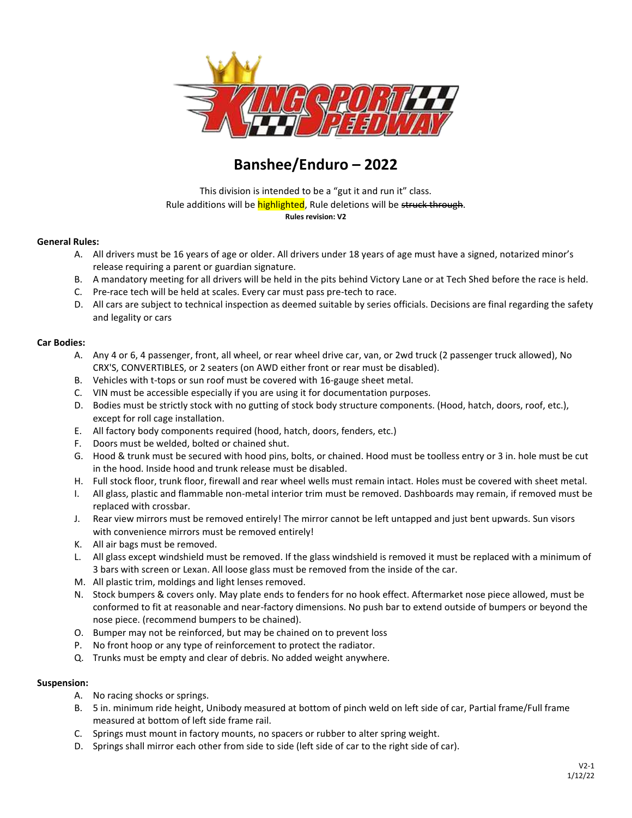

# **Banshee/Enduro – 2022**

This division is intended to be a "gut it and run it" class. Rule additions will be **highlighted**, Rule deletions will be struck through. **Rules revision: V2**

#### **General Rules:**

- A. All drivers must be 16 years of age or older. All drivers under 18 years of age must have a signed, notarized minor's release requiring a parent or guardian signature.
- B. A mandatory meeting for all drivers will be held in the pits behind Victory Lane or at Tech Shed before the race is held.
- C. Pre-race tech will be held at scales. Every car must pass pre-tech to race.
- D. All cars are subject to technical inspection as deemed suitable by series officials. Decisions are final regarding the safety and legality or cars

#### **Car Bodies:**

- A. Any 4 or 6, 4 passenger, front, all wheel, or rear wheel drive car, van, or 2wd truck (2 passenger truck allowed), No CRX'S, CONVERTIBLES, or 2 seaters (on AWD either front or rear must be disabled).
- B. Vehicles with t-tops or sun roof must be covered with 16-gauge sheet metal.
- C. VIN must be accessible especially if you are using it for documentation purposes.
- D. Bodies must be strictly stock with no gutting of stock body structure components. (Hood, hatch, doors, roof, etc.), except for roll cage installation.
- E. All factory body components required (hood, hatch, doors, fenders, etc.)
- F. Doors must be welded, bolted or chained shut.
- G. Hood & trunk must be secured with hood pins, bolts, or chained. Hood must be toolless entry or 3 in. hole must be cut in the hood. Inside hood and trunk release must be disabled.
- H. Full stock floor, trunk floor, firewall and rear wheel wells must remain intact. Holes must be covered with sheet metal.
- I. All glass, plastic and flammable non-metal interior trim must be removed. Dashboards may remain, if removed must be replaced with crossbar.
- J. Rear view mirrors must be removed entirely! The mirror cannot be left untapped and just bent upwards. Sun visors with convenience mirrors must be removed entirely!
- K. All air bags must be removed.
- L. All glass except windshield must be removed. If the glass windshield is removed it must be replaced with a minimum of 3 bars with screen or Lexan. All loose glass must be removed from the inside of the car.
- M. All plastic trim, moldings and light lenses removed.
- N. Stock bumpers & covers only. May plate ends to fenders for no hook effect. Aftermarket nose piece allowed, must be conformed to fit at reasonable and near-factory dimensions. No push bar to extend outside of bumpers or beyond the nose piece. (recommend bumpers to be chained).
- O. Bumper may not be reinforced, but may be chained on to prevent loss
- P. No front hoop or any type of reinforcement to protect the radiator.
- Q. Trunks must be empty and clear of debris. No added weight anywhere.

#### **Suspension:**

- A. No racing shocks or springs.
- B. 5 in. minimum ride height, Unibody measured at bottom of pinch weld on left side of car, Partial frame/Full frame measured at bottom of left side frame rail.
- C. Springs must mount in factory mounts, no spacers or rubber to alter spring weight.
- D. Springs shall mirror each other from side to side (left side of car to the right side of car).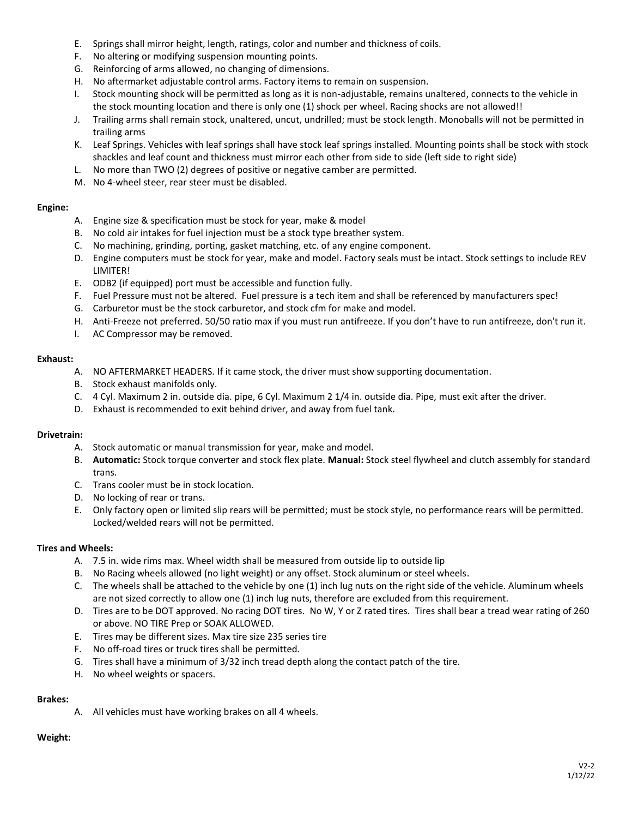- E. Springs shall mirror height, length, ratings, color and number and thickness of coils.
- F. No altering or modifying suspension mounting points.
- G. Reinforcing of arms allowed, no changing of dimensions.
- H. No aftermarket adjustable control arms. Factory items to remain on suspension.
- I. Stock mounting shock will be permitted as long as it is non-adjustable, remains unaltered, connects to the vehicle in the stock mounting location and there is only one (1) shock per wheel. Racing shocks are not allowed!!
- J. Trailing arms shall remain stock, unaltered, uncut, undrilled; must be stock length. Monoballs will not be permitted in trailing arms
- K. Leaf Springs. Vehicles with leaf springs shall have stock leaf springs installed. Mounting points shall be stock with stock shackles and leaf count and thickness must mirror each other from side to side (left side to right side)
- L. No more than TWO (2) degrees of positive or negative camber are permitted.
- M. No 4-wheel steer, rear steer must be disabled.

#### **Engine:**

- A. Engine size & specification must be stock for year, make & model
- B. No cold air intakes for fuel injection must be a stock type breather system.
- C. No machining, grinding, porting, gasket matching, etc. of any engine component.
- D. Engine computers must be stock for year, make and model. Factory seals must be intact. Stock settings to include REV LIMITER!
- E. ODB2 (if equipped) port must be accessible and function fully.
- F. Fuel Pressure must not be altered. Fuel pressure is a tech item and shall be referenced by manufacturers spec!
- G. Carburetor must be the stock carburetor, and stock cfm for make and model.
- H. Anti-Freeze not preferred. 50/50 ratio max if you must run antifreeze. If you don't have to run antifreeze, don't run it.
- I. AC Compressor may be removed.

#### **Exhaust:**

- A. NO AFTERMARKET HEADERS. If it came stock, the driver must show supporting documentation.
- B. Stock exhaust manifolds only.
- C. 4 Cyl. Maximum 2 in. outside dia. pipe, 6 Cyl. Maximum 2 1/4 in. outside dia. Pipe, must exit after the driver.
- D. Exhaust is recommended to exit behind driver, and away from fuel tank.

#### **Drivetrain:**

- A. Stock automatic or manual transmission for year, make and model.
- B. **Automatic:** Stock torque converter and stock flex plate. **Manual:** Stock steel flywheel and clutch assembly for standard trans.
- C. Trans cooler must be in stock location.
- D. No locking of rear or trans.
- E. Only factory open or limited slip rears will be permitted; must be stock style, no performance rears will be permitted. Locked/welded rears will not be permitted.

#### **Tires and Wheels:**

- A. 7.5 in. wide rims max. Wheel width shall be measured from outside lip to outside lip
- B. No Racing wheels allowed (no light weight) or any offset. Stock aluminum or steel wheels.
- C. The wheels shall be attached to the vehicle by one (1) inch lug nuts on the right side of the vehicle. Aluminum wheels are not sized correctly to allow one (1) inch lug nuts, therefore are excluded from this requirement.
- D. Tires are to be DOT approved. No racing DOT tires. No W, Y or Z rated tires. Tires shall bear a tread wear rating of 260 or above. NO TIRE Prep or SOAK ALLOWED.
- E. Tires may be different sizes. Max tire size 235 series tire
- F. No off-road tires or truck tires shall be permitted.
- G. Tires shall have a minimum of 3/32 inch tread depth along the contact patch of the tire.
- H. No wheel weights or spacers.

#### **Brakes:**

A. All vehicles must have working brakes on all 4 wheels.

#### **Weight:**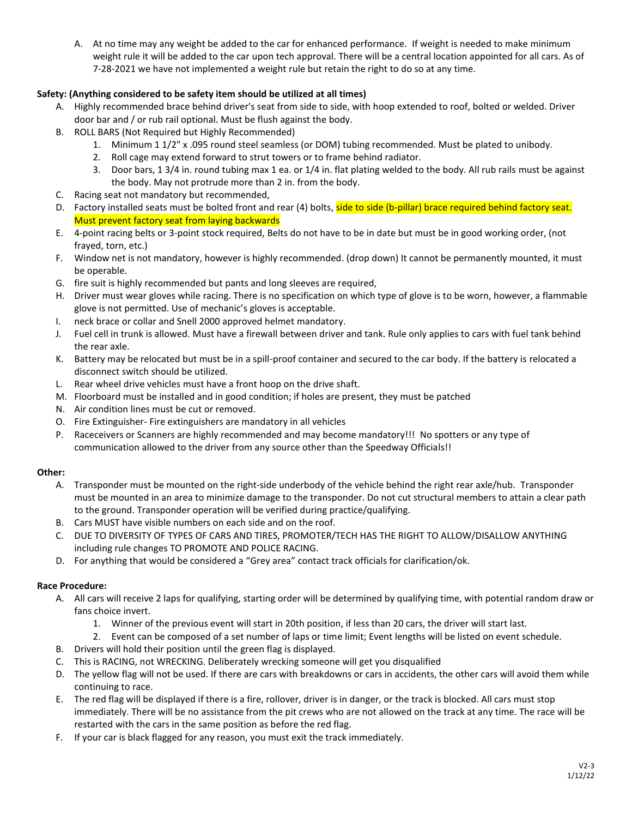A. At no time may any weight be added to the car for enhanced performance. If weight is needed to make minimum weight rule it will be added to the car upon tech approval. There will be a central location appointed for all cars. As of 7-28-2021 we have not implemented a weight rule but retain the right to do so at any time.

## **Safety: (Anything considered to be safety item should be utilized at all times)**

- A. Highly recommended brace behind driver's seat from side to side, with hoop extended to roof, bolted or welded. Driver door bar and / or rub rail optional. Must be flush against the body.
- B. ROLL BARS (Not Required but Highly Recommended)
	- 1. Minimum 1 1/2" x .095 round steel seamless (or DOM) tubing recommended. Must be plated to unibody.
	- 2. Roll cage may extend forward to strut towers or to frame behind radiator.
	- 3. Door bars, 1 3/4 in. round tubing max 1 ea. or 1/4 in. flat plating welded to the body. All rub rails must be against the body. May not protrude more than 2 in. from the body.
- C. Racing seat not mandatory but recommended,
- D. Factory installed seats must be bolted front and rear (4) bolts, side to side (b-pillar) brace required behind factory seat. Must prevent factory seat from laying backwards
- E. 4-point racing belts or 3-point stock required, Belts do not have to be in date but must be in good working order, (not frayed, torn, etc.)
- F. Window net is not mandatory, however is highly recommended. (drop down) It cannot be permanently mounted, it must be operable.
- G. fire suit is highly recommended but pants and long sleeves are required,
- H. Driver must wear gloves while racing. There is no specification on which type of glove is to be worn, however, a flammable glove is not permitted. Use of mechanic's gloves is acceptable.
- I. neck brace or collar and Snell 2000 approved helmet mandatory.
- J. Fuel cell in trunk is allowed. Must have a firewall between driver and tank. Rule only applies to cars with fuel tank behind the rear axle.
- K. Battery may be relocated but must be in a spill-proof container and secured to the car body. If the battery is relocated a disconnect switch should be utilized.
- L. Rear wheel drive vehicles must have a front hoop on the drive shaft.
- M. Floorboard must be installed and in good condition; if holes are present, they must be patched
- N. Air condition lines must be cut or removed.
- O. Fire Extinguisher- Fire extinguishers are mandatory in all vehicles
- P. Raceceivers or Scanners are highly recommended and may become mandatory!!! No spotters or any type of communication allowed to the driver from any source other than the Speedway Officials!!

## **Other:**

- A. Transponder must be mounted on the right-side underbody of the vehicle behind the right rear axle/hub. Transponder must be mounted in an area to minimize damage to the transponder. Do not cut structural members to attain a clear path to the ground. Transponder operation will be verified during practice/qualifying.
- B. Cars MUST have visible numbers on each side and on the roof.
- C. DUE TO DIVERSITY OF TYPES OF CARS AND TIRES, PROMOTER/TECH HAS THE RIGHT TO ALLOW/DISALLOW ANYTHING including rule changes TO PROMOTE AND POLICE RACING.
- D. For anything that would be considered a "Grey area" contact track officials for clarification/ok.

## **Race Procedure:**

- A. All cars will receive 2 laps for qualifying, starting order will be determined by qualifying time, with potential random draw or fans choice invert.
	- 1. Winner of the previous event will start in 20th position, if less than 20 cars, the driver will start last.
	- 2. Event can be composed of a set number of laps or time limit; Event lengths will be listed on event schedule.
- B. Drivers will hold their position until the green flag is displayed.
- C. This is RACING, not WRECKING. Deliberately wrecking someone will get you disqualified
- D. The yellow flag will not be used. If there are cars with breakdowns or cars in accidents, the other cars will avoid them while continuing to race.
- E. The red flag will be displayed if there is a fire, rollover, driver is in danger, or the track is blocked. All cars must stop immediately. There will be no assistance from the pit crews who are not allowed on the track at any time. The race will be restarted with the cars in the same position as before the red flag.
- F. If your car is black flagged for any reason, you must exit the track immediately.